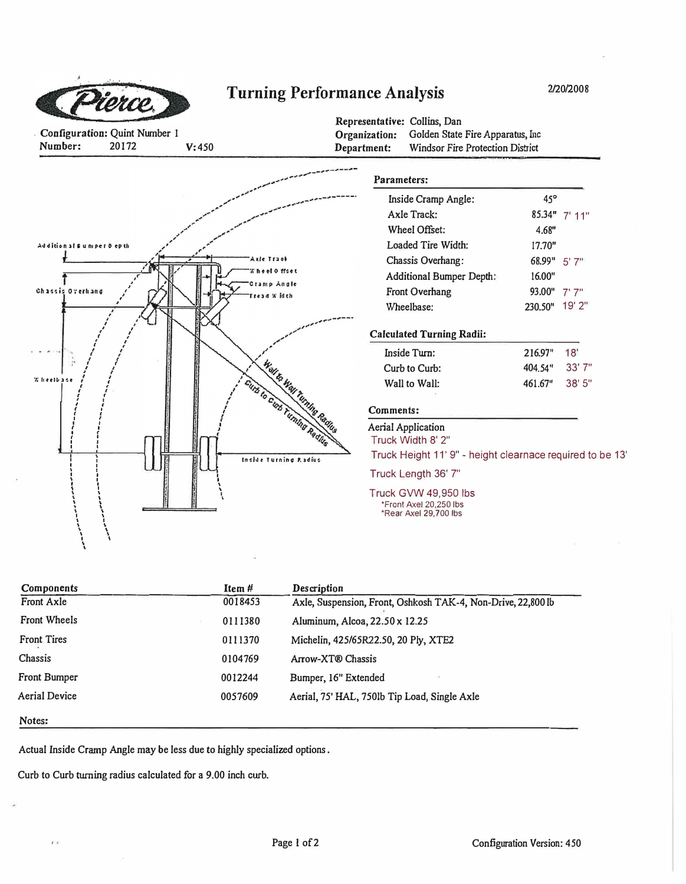

## **Turning Performance Analysis**

2/20/2008

Configuration: Quint Number 1 Number: 20172  $V:450$ 

Representative: Collins, Dan Organization: Golden State Fire Apparatus, Inc Windsor Fire Protection District Department:

|                            |                                                                | Parameters:                                                             |                |                 |
|----------------------------|----------------------------------------------------------------|-------------------------------------------------------------------------|----------------|-----------------|
|                            |                                                                | Inside Cramp Angle:                                                     | 45°            |                 |
|                            |                                                                | <b>Axle Track:</b>                                                      |                | $85.34"$ 7' 11" |
|                            |                                                                | Wheel Offset:                                                           | 4.68"          |                 |
| Additional 6 uniper 0 epth |                                                                | Loaded Tire Width:                                                      | 17.70"         |                 |
|                            | Axle Traob                                                     | Chassis Overhang:                                                       | 68.99" 5'7"    |                 |
|                            | <b>Wheel Offset</b><br>Cramp Angle                             | <b>Additional Bumper Depth:</b>                                         | 16.00"         |                 |
|                            | dabi W beat                                                    | Front Overhang                                                          | 93.00" 7'7"    |                 |
|                            |                                                                | Wheelbase:                                                              | 230.50" 19' 2" |                 |
|                            |                                                                | <b>Calculated Turning Radii:</b>                                        |                |                 |
|                            |                                                                | Inside Turn:                                                            | 216.97"        | 18'             |
|                            |                                                                | Curb to Curb:                                                           | 404.54"        | 33'7"           |
|                            |                                                                | Wall to Wall:                                                           | 461.67"        | 38' 5"          |
|                            | West to West Turning Realing<br>Gins to Const Turning Redition | Comments:                                                               |                |                 |
|                            |                                                                | Aerial Application                                                      |                |                 |
|                            |                                                                | Truck Width 8' 2"                                                       |                |                 |
|                            | Inside Turning Padius                                          | Truck Height 11' 9" - height clearnace required to be 13'               |                |                 |
|                            |                                                                | Truck Length 36' 7"                                                     |                |                 |
|                            |                                                                | Truck GVW 49,950 lbs<br>*Front Axel 20,250 lbs<br>*Rear Axel 29,700 lbs |                |                 |
|                            |                                                                |                                                                         |                |                 |

| Components          | ltem #  | Description                                                  |
|---------------------|---------|--------------------------------------------------------------|
| Front Axle          | 0018453 | Axle, Suspension, Front, Oshkosh TAK-4, Non-Drive, 22,800 lb |
| <b>Front Wheels</b> | 0111380 | Aluminum, Alcoa, 22.50 x 12.25                               |
| <b>Front Tires</b>  | 0111370 | Michelin, 425/65R22.50, 20 Ply, XTE2                         |
| Chassis             | 0104769 | Arrow-XT® Chassis                                            |
| <b>Front Bumper</b> | 0012244 | Bumper, 16" Extended                                         |
| Aerial Device       | 0057609 | Aerial, 75' HAL, 750lb Tip Load, Single Axle                 |
| Notes:              |         |                                                              |

Actual Inside Cramp Angle may be less due to highly specialized options.

Curb to Curb turning radius calculated for a 9.00 inch curb.

 $\overline{I}$  (x)